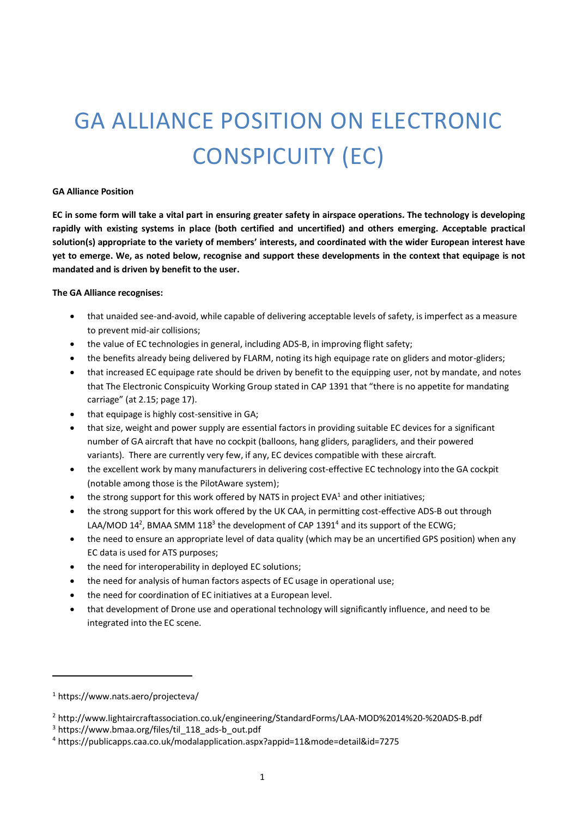# GA ALLIANCE POSITION ON ELECTRONIC CONSPICUITY (EC)

#### **GA Alliance Position**

**EC in some form will take a vital part in ensuring greater safety in airspace operations. The technology is developing rapidly with existing systems in place (both certified and uncertified) and others emerging. Acceptable practical solution(s) appropriate to the variety of members' interests, and coordinated with the wider European interest have yet to emerge. We, as noted below, recognise and support these developments in the context that equipage is not mandated and is driven by benefit to the user.**

## **The GA Alliance recognises:**

- that unaided see-and-avoid, while capable of delivering acceptable levels of safety, is imperfect as a measure to prevent mid-air collisions;
- the value of EC technologies in general, including ADS-B, in improving flight safety;
- the benefits already being delivered by FLARM, noting its high equipage rate on gliders and motor-gliders;
- that increased EC equipage rate should be driven by benefit to the equipping user, not by mandate, and notes that The Electronic Conspicuity Working Group stated in CAP 1391 that "there is no appetite for mandating carriage" (at 2.15; page 17).
- that equipage is highly cost-sensitive in GA;
- that size, weight and power supply are essential factors in providing suitable EC devices for a significant number of GA aircraft that have no cockpit (balloons, hang gliders, paragliders, and their powered variants). There are currently very few, if any, EC devices compatible with these aircraft.
- the excellent work by many manufacturers in delivering cost-effective EC technology into the GA cockpit (notable among those is the PilotAware system);
- the strong support for this work offered by NATS in project EVA<sup>1</sup> and other initiatives;
- the strong support for this work offered by the UK CAA, in permitting cost-effective ADS-B out through LAA/MOD 14<sup>2</sup>, BMAA SMM 118<sup>3</sup> the development of CAP 1391<sup>4</sup> and its support of the ECWG;
- the need to ensure an appropriate level of data quality (which may be an uncertified GPS position) when any EC data is used for ATS purposes;
- the need for interoperability in deployed EC solutions;
- the need for analysis of human factors aspects of EC usage in operational use;
- the need for coordination of EC initiatives at a European level.
- that development of Drone use and operational technology will significantly influence, and need to be integrated into the EC scene.

 $\overline{a}$ 

<sup>1</sup> https://www.nats.aero/projecteva/

<sup>2</sup> http://www.lightaircraftassociation.co.uk/engineering/StandardForms/LAA-MOD%2014%20-%20ADS-B.pdf

<sup>&</sup>lt;sup>3</sup> https://www.bmaa.org/files/til\_118\_ads-b\_out.pdf

<sup>4</sup> https://publicapps.caa.co.uk/modalapplication.aspx?appid=11&mode=detail&id=7275